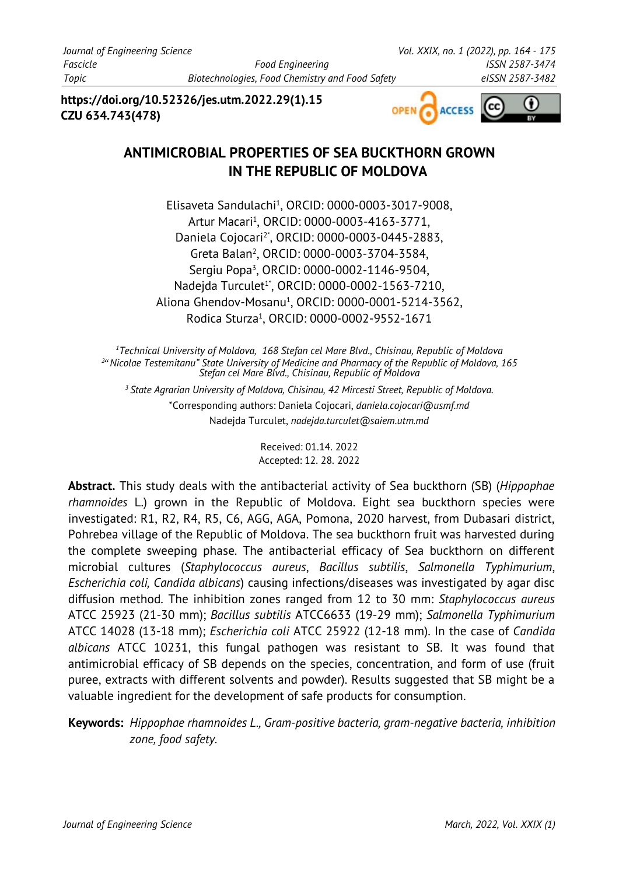**https://doi.org/10.52326/jes.utm.2022.29(1).15 CZU 634.743(478)**



# **ANTIMICROBIAL PROPERTIES OF SEA BUCKTHORN GROWN IN THE REPUBLIC OF MOLDOVA**

Elisaveta Sandulachi<sup>1</sup> , ORCID: 0000-0003-3017-9008, Artur Macari<sup>1</sup> , ORCID: 0000-0003-4163-3771, Daniela Cojocari2\* , ORCID: 0000-0003-0445-2883, Greta Balan<sup>2</sup> , ORCID: 0000-0003-3704-3584, Sergiu Popa<sup>3</sup>, ORCID: 0000-0002-1146-9504, Nadejda Turculet<sup>1</sup>\*, ORCID: 0000-0002-1563-7210, Aliona Ghendov-Mosanu<sup>1</sup>, ORCID: 0000-0001-5214-3562, Rodica Sturza<sup>1</sup> , ORCID: 0000-0002-9552-1671

*<sup>1</sup>Technical University of Moldova, 168 Stefan cel Mare Blvd., Chisinau, Republic of Moldova 2* " *Nicolae Testemitanu" State University of Medicine and Pharmacy of the Republic of Moldova, 165 Stefan cel Mare Blvd., Chisinau, Republic of Moldova* 

*<sup>3</sup>State Agrarian University of Moldova, Chisinau, 42 Mircesti Street, Republic of Moldova.*  \*Corresponding authors: Daniela Cojocari, *daniela.cojocari@usmf.md* Nadejda Turculet, *nadejda.turculet@saiem.utm.md*

> Received: 01.14. 2022 Accepted: 12. 28. 2022

**Abstract.** This study deals with the antibacterial activity of Sea buckthorn (SB) (*Hippophae rhamnoides* L.) grown in the Republic of Moldova. Eight sea buckthorn species were investigated: R1, R2, R4, R5, C6, AGG, AGA, Pomona, 2020 harvest, from Dubasari district, Pohrebea village of the Republic of Moldova. The sea buckthorn fruit was harvested during the complete sweeping phase. The antibacterial efficacy of Sea buckthorn on different microbial cultures (*Staphylococcus aureus*, *Bacillus subtilis*, *Salmonella Typhimurium*, *Escherichia coli, Candida albicans*) causing infections/diseases was investigated by agar disc diffusion method. The inhibition zones ranged from 12 to 30 mm: *Staphylococcus aureus* ATCC 25923 (21-30 mm); *Bacillus subtilis* ATCC6633 (19-29 mm); *Salmonella Typhimurium* ATCC 14028 (13-18 mm); *Escherichia coli* ATCC 25922 (12-18 mm). In the case of *Candida albicans* ATCC 10231, this fungal pathogen was resistant to SB. It was found that antimicrobial efficacy of SB depends on the species, concentration, and form of use (fruit puree, extracts with different solvents and powder). Results suggested that SB might be a valuable ingredient for the development of safe products for consumption.

**Keywords:** *Hippophae rhamnoides L., Gram-positive bacteria, gram-negative bacteria, inhibition zone, food safety.*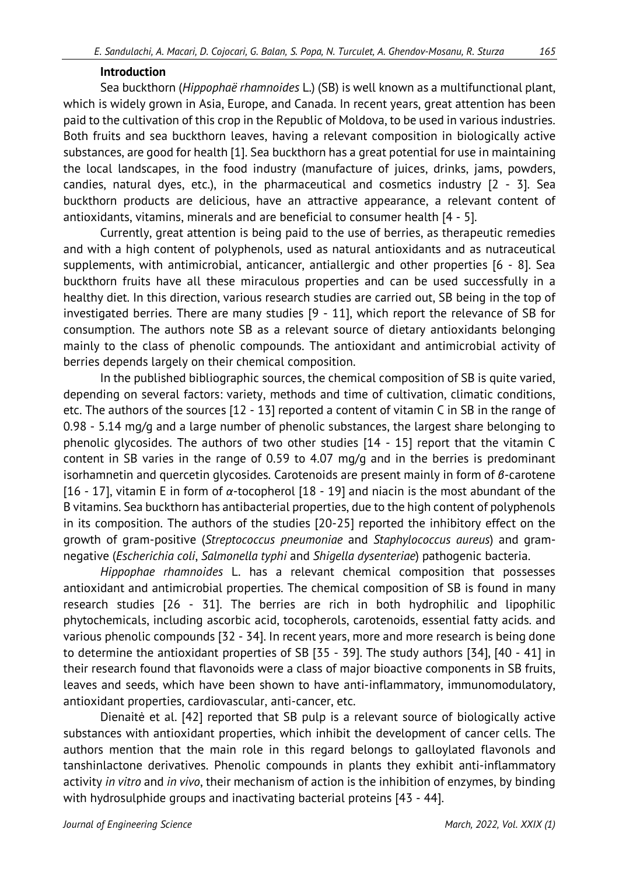### **Introduction**

Sea buckthorn (*Hippophaë rhamnoides* L.) (SB) is well known as a multifunctional plant, which is widely grown in Asia, Europe, and Canada. In recent years, great attention has been paid to the cultivation of this crop in the Republic of Moldova, to be used in various industries. Both fruits and sea buckthorn leaves, having a relevant composition in biologically active substances, are good for health [1]. Sea buckthorn has a great potential for use in maintaining the local landscapes, in the food industry (manufacture of juices, drinks, jams, powders, candies, natural dyes, etc.), in the pharmaceutical and cosmetics industry [2 - 3]. Sea buckthorn products are delicious, have an attractive appearance, a relevant content of antioxidants, vitamins, minerals and are beneficial to consumer health [4 - 5].

Currently, great attention is being paid to the use of berries, as therapeutic remedies and with a high content of polyphenols, used as natural antioxidants and as nutraceutical supplements, with antimicrobial, anticancer, antiallergic and other properties [6 - 8]. Sea buckthorn fruits have all these miraculous properties and can be used successfully in a healthy diet. In this direction, various research studies are carried out, SB being in the top of investigated berries. There are many studies [9 - 11], which report the relevance of SB for consumption. The authors note SB as a relevant source of dietary antioxidants belonging mainly to the class of phenolic compounds. The antioxidant and antimicrobial activity of berries depends largely on their chemical composition.

In the published bibliographic sources, the chemical composition of SB is quite varied, depending on several factors: variety, methods and time of cultivation, climatic conditions, etc. The authors of the sources [12 - 13] reported a content of vitamin C in SB in the range of 0.98 - 5.14 mg/g and a large number of phenolic substances, the largest share belonging to phenolic glycosides. The authors of two other studies [14 - 15] report that the vitamin C content in SB varies in the range of 0.59 to 4.07 mg/g and in the berries is predominant isorhamnetin and quercetin glycosides. Carotenoids are present mainly in form of *β*-carotene [16 - 17], vitamin E in form of *α*-tocopherol [18 - 19] and niacin is the most abundant of the B vitamins. Sea buckthorn has antibacterial properties, due to the high content of polyphenols in its composition. The authors of the studies [20-25] reported the inhibitory effect on the growth of gram-positive (*Streptococcus pneumoniae* and *Staphylococcus aureus*) and gramnegative (*Escherichia coli*, *Salmonella typhi* and *Shigella dysenteriae*) pathogenic bacteria.

*Hippophae rhamnoides* L. has a relevant chemical composition that possesses antioxidant and antimicrobial properties. The chemical composition of SB is found in many research studies [26 - 31]. The berries are rich in both hydrophilic and lipophilic phytochemicals, including ascorbic acid, tocopherols, carotenoids, essential fatty acids. and various phenolic compounds [32 - 34]. In recent years, more and more research is being done to determine the antioxidant properties of SB [35 - 39]. The study authors [34], [40 - 41] in their research found that flavonoids were a class of major bioactive components in SB fruits, leaves and seeds, which have been shown to have anti-inflammatory, immunomodulatory, antioxidant properties, cardiovascular, anti-cancer, etc.

Dienaitė et al. [42] reported that SB pulp is a relevant source of biologically active substances with antioxidant properties, which inhibit the development of cancer cells. The authors mention that the main role in this regard belongs to galloylated flavonols and tanshinlactone derivatives. Phenolic compounds in plants they exhibit anti-inflammatory activity *in vitro* and *in vivo*, their mechanism of action is the inhibition of enzymes, by binding with hydrosulphide groups and inactivating bacterial proteins [43 - 44].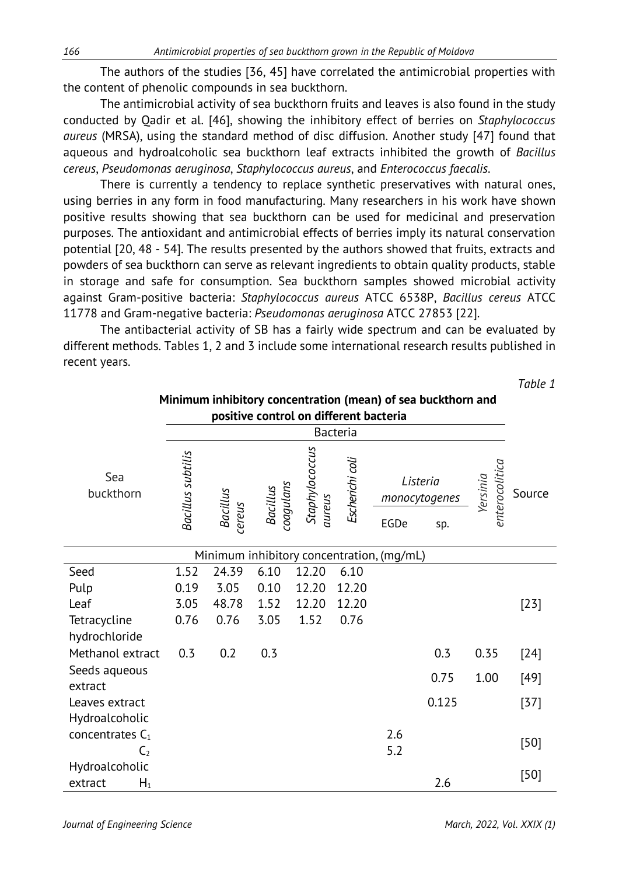The authors of the studies [36, 45] have correlated the antimicrobial properties with the content of phenolic compounds in sea buckthorn.

The antimicrobial activity of sea buckthorn fruits and leaves is also found in the study conducted by Qadir et al. [46], showing the inhibitory effect of berries on *Staphylococcus aureus* (MRSA), using the standard method of disc diffusion. Another study [47] found that aqueous and hydroalcoholic sea buckthorn leaf extracts inhibited the growth of *Bacillus cereus*, *Pseudomonas aeruginosa*, *Staphylococcus aureus*, and *Enterococcus faecalis*.

There is currently a tendency to replace synthetic preservatives with natural ones, using berries in any form in food manufacturing. Many researchers in his work have shown positive results showing that sea buckthorn can be used for medicinal and preservation purposes. The antioxidant and antimicrobial effects of berries imply its natural conservation potential [20, 48 - 54]. The results presented by the authors showed that fruits, extracts and powders of sea buckthorn can serve as relevant ingredients to obtain quality products, stable in storage and safe for consumption. Sea buckthorn samples showed microbial activity against Gram-positive bacteria: *Staphylococcus aureus* ATCC 6538P, *Bacillus cereus* ATCC 11778 and Gram-negative bacteria: *Pseudomonas aeruginosa* ATCC 27853 [22].

The antibacterial activity of SB has a fairly wide spectrum and can be evaluated by different methods. Tables 1, 2 and 3 include some international research results published in recent years.

*Table 1*

| Minimum inhibitory concentration (mean) of sea buckthorn and<br>positive control on different bacteria |                   |                           |                       |                          |                 |                                           |                                  |                            |        |
|--------------------------------------------------------------------------------------------------------|-------------------|---------------------------|-----------------------|--------------------------|-----------------|-------------------------------------------|----------------------------------|----------------------------|--------|
|                                                                                                        |                   |                           |                       |                          | Bacteria        |                                           |                                  |                            |        |
| Sea<br>buckthorn                                                                                       | Bacillus subtilis | <b>Bacillus</b><br>cereus | Bacillus<br>coagulans | Staphylococcus<br>aureus | Escherichi coli | EGDe                                      | Listeria<br>monocytogenes<br>sp. | Yersinia<br>enterocolitica | Source |
|                                                                                                        |                   |                           |                       |                          |                 | Minimum inhibitory concentration, (mg/mL) |                                  |                            |        |
| Seed                                                                                                   | 1.52              | 24.39                     | 6.10                  | 12.20                    | 6.10            |                                           |                                  |                            |        |
| Pulp                                                                                                   | 0.19              | 3.05                      | 0.10                  | 12.20                    | 12.20           |                                           |                                  |                            |        |
| Leaf                                                                                                   | 3.05              | 48.78                     | 1.52                  | 12.20                    | 12.20           |                                           |                                  |                            | $[23]$ |
| Tetracycline                                                                                           | 0.76              | 0.76                      | 3.05                  | 1.52                     | 0.76            |                                           |                                  |                            |        |
| hydrochloride                                                                                          |                   |                           |                       |                          |                 |                                           |                                  |                            |        |
| Methanol extract                                                                                       | 0.3               | 0.2                       | 0.3                   |                          |                 |                                           | 0.3                              | 0.35                       | $[24]$ |
| Seeds aqueous<br>extract                                                                               |                   |                           |                       |                          |                 |                                           | 0.75                             | 1.00                       | [49]   |
| Leaves extract                                                                                         |                   |                           |                       |                          |                 |                                           | 0.125                            |                            | $[37]$ |
| Hydroalcoholic                                                                                         |                   |                           |                       |                          |                 |                                           |                                  |                            |        |
| concentrates $C_1$<br>C <sub>2</sub>                                                                   |                   |                           |                       |                          |                 | 2.6<br>5.2                                |                                  |                            | $[50]$ |
| Hydroalcoholic                                                                                         |                   |                           |                       |                          |                 |                                           |                                  |                            |        |
| $H_1$<br>extract                                                                                       |                   |                           |                       |                          |                 |                                           | 2.6                              |                            | $[50]$ |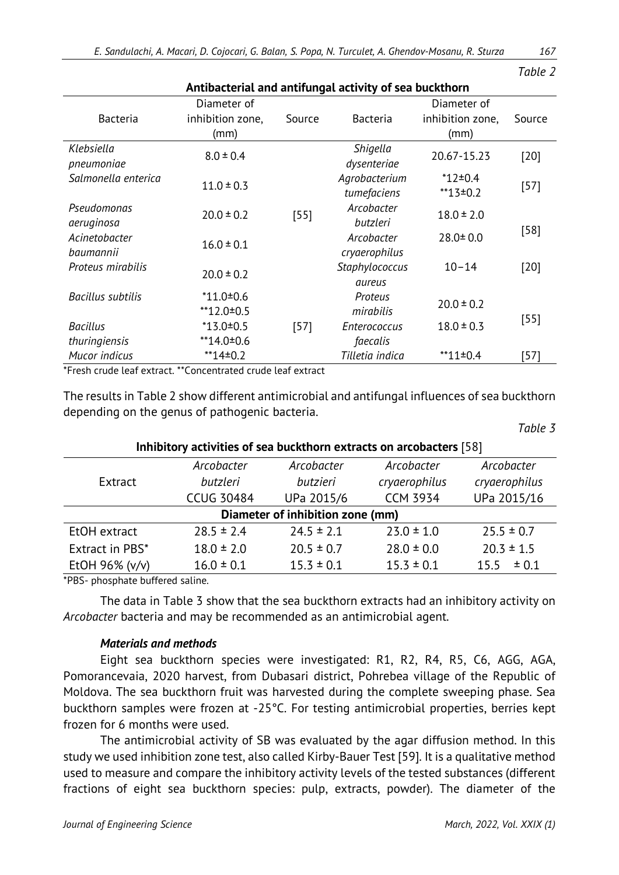| Antibacterial and antifungal activity of sea buckthorn |                                         |        |                                 |                                         |        |  |  |
|--------------------------------------------------------|-----------------------------------------|--------|---------------------------------|-----------------------------------------|--------|--|--|
| Bacteria                                               | Diameter of<br>inhibition zone,<br>(mm) | Source | Bacteria                        | Diameter of<br>inhibition zone,<br>(mm) | Source |  |  |
| Klebsiella<br>pneumoniae                               | $8.0 \pm 0.4$                           |        | Shigella<br>dysenteriae         | 20.67-15.23                             | $[20]$ |  |  |
| Salmonella enterica                                    | $11.0 \pm 0.3$                          |        | Agrobacterium<br>tumefaciens    | $*12 \pm 0.4$<br>$*13+0.2$              | $[57]$ |  |  |
| Pseudomonas<br>aeruginosa                              | $20.0 \pm 0.2$                          | $[55]$ | Arcobacter<br>butzleri          | $18.0 \pm 2.0$                          |        |  |  |
| Acinetobacter<br>baumannii                             | $16.0 \pm 0.1$                          |        | Arcobacter<br>cryaerophilus     | $28.0 \pm 0.0$                          | $[58]$ |  |  |
| Proteus mirabilis                                      | $20.0 \pm 0.2$                          |        | Staphylococcus<br>aureus        | $10 - 14$                               | $[20]$ |  |  |
| Bacillus subtilis                                      | $*11.0 \pm 0.6$<br>$*12.0 \pm 0.5$      |        | Proteus<br>mirabilis            | $20.0 \pm 0.2$                          |        |  |  |
| <b>Bacillus</b><br>thuringiensis                       | $*13.0 \pm 0.5$<br>$*14.0 \pm 0.6$      | $[57]$ | <b>Enterococcus</b><br>faecalis | $18.0 \pm 0.3$                          | $[55]$ |  |  |
| Mucor indicus                                          | $**14=0.2$                              |        | Tilletia indica                 | $*11\pm0.4$                             | [57]   |  |  |

\*Fresh crude leaf extract. \*\*Concentrated crude leaf extract

The results in Table 2 show different antimicrobial and antifungal influences of sea buckthorn depending on the genus of pathogenic bacteria.

| Inhibitory activities of sea buckthorn extracts on arcobacters [58] |                   |                |                 |                |  |  |  |
|---------------------------------------------------------------------|-------------------|----------------|-----------------|----------------|--|--|--|
|                                                                     | Arcobacter        | Arcobacter     | Arcobacter      | Arcobacter     |  |  |  |
| Extract                                                             | butzleri          | butzieri       | cryaerophilus   | cryaerophilus  |  |  |  |
|                                                                     | <b>CCUG 30484</b> | UPa 2015/6     | <b>CCM 3934</b> | UPa 2015/16    |  |  |  |
| Diameter of inhibition zone (mm)                                    |                   |                |                 |                |  |  |  |
| EtOH extract                                                        | $28.5 \pm 2.4$    | $24.5 \pm 2.1$ | $23.0 \pm 1.0$  | $25.5 \pm 0.7$ |  |  |  |
| Extract in PBS*                                                     | $18.0 \pm 2.0$    | $20.5 \pm 0.7$ | $28.0 \pm 0.0$  | $20.3 \pm 1.5$ |  |  |  |
| EtOH 96% (v/v)                                                      | $16.0 \pm 0.1$    | $15.3 \pm 0.1$ | $15.3 \pm 0.1$  | ± 0.1<br>15.5  |  |  |  |

\*PBS- phosphate buffered saline.

The data in Table 3 show that the sea buckthorn extracts had an inhibitory activity on *Arcobacter* bacteria and may be recommended as an antimicrobial agent.

### *Materials and methods*

Eight sea buckthorn species were investigated: R1, R2, R4, R5, C6, AGG, AGA, Pomorancevaia, 2020 harvest, from Dubasari district, Pohrebea village of the Republic of Moldova. The sea buckthorn fruit was harvested during the complete sweeping phase. Sea buckthorn samples were frozen at -25°C. For testing antimicrobial properties, berries kept frozen for 6 months were used.

The antimicrobial activity of SB was evaluated by the agar diffusion method. In this study we used inhibition zone test, also called Kirby-Bauer Test [59]. It is a qualitative method used to measure and compare the inhibitory activity levels of the tested substances (different fractions of eight sea buckthorn species: pulp, extracts, powder). The diameter of the

*Table 2*

*Table 3*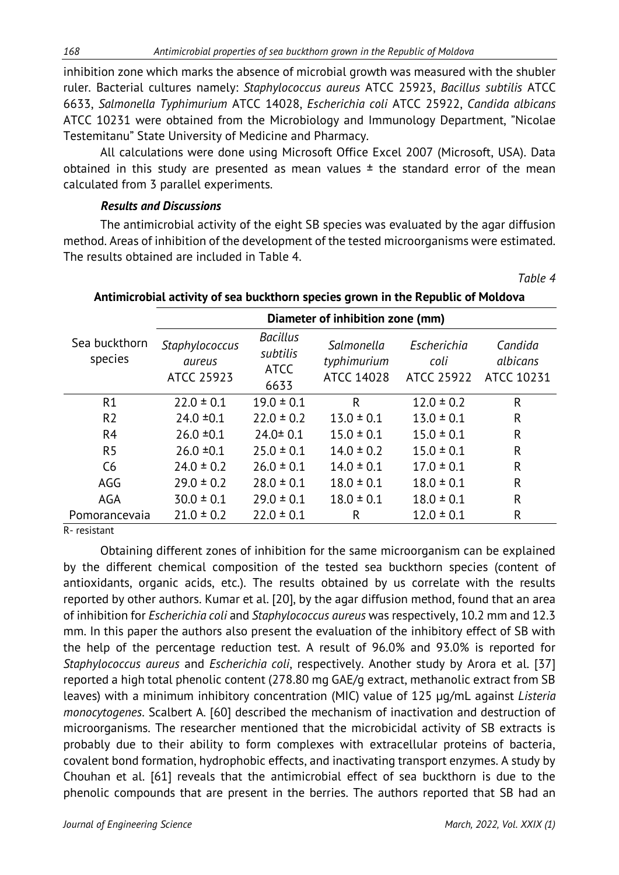inhibition zone which marks the absence of microbial growth was measured with the shubler ruler. Bacterial cultures namely: *Staphylococcus aureus* ATCC 25923, *Bacillus subtilis* ATCC 6633, *Salmonella Typhimurium* ATCC 14028, *Escherichia coli* ATCC 25922, *Candida albicans*  ATCC 10231 were obtained from the Microbiology and Immunology Department, "Nicolae Testemitanu" State University of Medicine and Pharmacy.

All calculations were done using Microsoft Office Excel 2007 (Microsoft, USA). Data obtained in this study are presented as mean values  $\pm$  the standard error of the mean calculated from 3 parallel experiments.

### *Results and Discussions*

The antimicrobial activity of the eight SB species was evaluated by the agar diffusion method. Areas of inhibition of the development of the tested microorganisms were estimated. The results obtained are included in Table 4.

| Antimicropial activity of sea buckthorn species grown in the Republic of Moldova |                                               |                                                    |                                                |                                          |                                   |  |  |  |
|----------------------------------------------------------------------------------|-----------------------------------------------|----------------------------------------------------|------------------------------------------------|------------------------------------------|-----------------------------------|--|--|--|
|                                                                                  | Diameter of inhibition zone (mm)              |                                                    |                                                |                                          |                                   |  |  |  |
| Sea buckthorn<br>species                                                         | Staphylococcus<br>aureus<br><b>ATCC 25923</b> | <b>Bacillus</b><br>subtilis<br><b>ATCC</b><br>6633 | Salmonella<br>typhimurium<br><b>ATCC 14028</b> | Escherichia<br>coli<br><b>ATCC 25922</b> | Candida<br>albicans<br>ATCC 10231 |  |  |  |
| R1                                                                               | $22.0 \pm 0.1$                                | $19.0 \pm 0.1$                                     | R                                              | $12.0 \pm 0.2$                           | R                                 |  |  |  |
| R <sub>2</sub>                                                                   | $24.0 \pm 0.1$                                | $22.0 \pm 0.2$                                     | $13.0 \pm 0.1$                                 | $13.0 \pm 0.1$                           | R                                 |  |  |  |
| R <sub>4</sub>                                                                   | $26.0 \pm 0.1$                                | $24.0 \pm 0.1$                                     | $15.0 \pm 0.1$                                 | $15.0 \pm 0.1$                           | R                                 |  |  |  |
| R <sub>5</sub>                                                                   | $26.0 \pm 0.1$                                | $25.0 \pm 0.1$                                     | $14.0 \pm 0.2$                                 | $15.0 \pm 0.1$                           | R                                 |  |  |  |
| C6                                                                               | $24.0 \pm 0.2$                                | $26.0 \pm 0.1$                                     | $14.0 \pm 0.1$                                 | $17.0 \pm 0.1$                           | R                                 |  |  |  |
| AGG                                                                              | $29.0 \pm 0.2$                                | $28.0 \pm 0.1$                                     | $18.0 \pm 0.1$                                 | $18.0 \pm 0.1$                           | R                                 |  |  |  |
| AGA                                                                              | $30.0 \pm 0.1$                                | $29.0 \pm 0.1$                                     | $18.0 \pm 0.1$                                 | $18.0 \pm 0.1$                           | R                                 |  |  |  |
| Pomorancevaia                                                                    | $21.0 \pm 0.2$                                | $22.0 \pm 0.1$                                     | R                                              | $12.0 \pm 0.1$                           | R                                 |  |  |  |

## **Antimicrobial activity of sea buckthorn species grown in the Republic of Moldova**

R- resistant

Obtaining different zones of inhibition for the same microorganism can be explained by the different chemical composition of the tested sea buckthorn species (content of antioxidants, organic acids, etc.). The results obtained by us correlate with the results reported by other authors. Kumar et al. [20], by the agar diffusion method, found that an area of inhibition for *Escherichia coli* and *Staphylococcus aureus* was respectively, 10.2 mm and 12.3 mm. In this paper the authors also present the evaluation of the inhibitory effect of SB with the help of the percentage reduction test. A result of 96.0% and 93.0% is reported for *Staphylococcus aureus* and *Escherichia coli*, respectively. Another study by Arora et al. [37] reported a high total phenolic content (278.80 mg GAE/g extract, methanolic extract from SB leaves) with a minimum inhibitory concentration (MIC) value of 125 µg/mL against *Listeria monocytogenes*. Scalbert A. [60] described the mechanism of inactivation and destruction of microorganisms. The researcher mentioned that the microbicidal activity of SB extracts is probably due to their ability to form complexes with extracellular proteins of bacteria, covalent bond formation, hydrophobic effects, and inactivating transport enzymes. A study by Chouhan et al. [61] reveals that the antimicrobial effect of sea buckthorn is due to the phenolic compounds that are present in the berries. The authors reported that SB had an

*Table 4*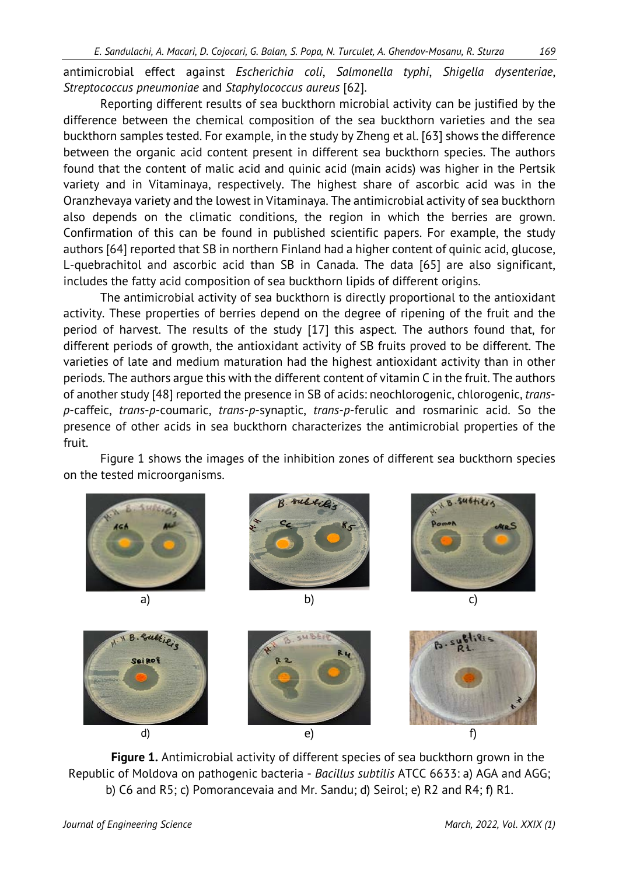antimicrobial effect against *Escherichia coli*, *Salmonella typhi*, *Shigella dysenteriae*, *Streptococcus pneumoniae* and *Staphylococcus aureus* [62].

Reporting different results of sea buckthorn microbial activity can be justified by the difference between the chemical composition of the sea buckthorn varieties and the sea buckthorn samples tested. For example, in the study by Zheng et al. [63] shows the difference between the organic acid content present in different sea buckthorn species. The authors found that the content of malic acid and quinic acid (main acids) was higher in the Pertsik variety and in Vitaminaya, respectively. The highest share of ascorbic acid was in the Oranzhevaya variety and the lowest in Vitaminaya. The antimicrobial activity of sea buckthorn also depends on the climatic conditions, the region in which the berries are grown. Confirmation of this can be found in published scientific papers. For example, the study authors [64] reported that SB in northern Finland had a higher content of quinic acid, glucose, L-quebrachitol and ascorbic acid than SB in Canada. The data [65] are also significant, includes the fatty acid composition of sea buckthorn lipids of different origins.

The antimicrobial activity of sea buckthorn is directly proportional to the antioxidant activity. These properties of berries depend on the degree of ripening of the fruit and the period of harvest. The results of the study [17] this aspect. The authors found that, for different periods of growth, the antioxidant activity of SB fruits proved to be different. The varieties of late and medium maturation had the highest antioxidant activity than in other periods. The authors argue this with the different content of vitamin C in the fruit. The authors of another study [48] reported the presence in SB of acids: neochlorogenic, chlorogenic, *transp*-caffeic, *trans*-*p*-coumaric, *trans*-*p*-synaptic, *trans*-*p*-ferulic and rosmarinic acid. So the presence of other acids in sea buckthorn characterizes the antimicrobial properties of the fruit.

Figure 1 shows the images of the inhibition zones of different sea buckthorn species on the tested microorganisms.



**Figure 1.** Antimicrobial activity of different species of sea buckthorn grown in the Republic of Moldova on pathogenic bacteria - *Bacillus subtilis* ATCC 6633: a) AGA and AGG; b) C6 and R5; c) Pomorancevaia and Mr. Sandu; d) Seirol; e) R2 and R4; f) R1.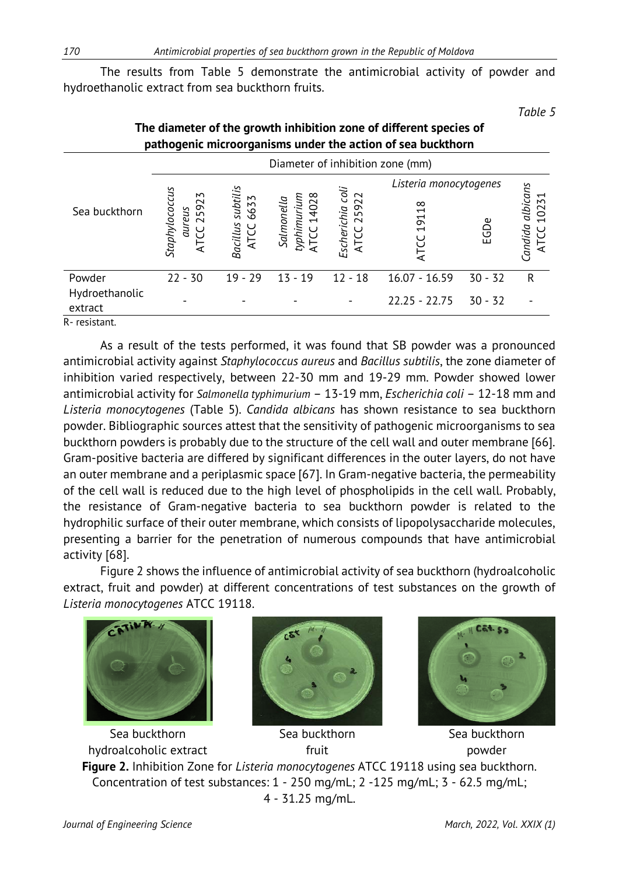The results from Table 5 demonstrate the antimicrobial activity of powder and hydroethanolic extract from sea buckthorn fruits.

*Table 5*

| Sea buckthorn  | Diameter of inhibition zone (mm)                             |                                             |                                         |                                      |                        |           |                                     |  |
|----------------|--------------------------------------------------------------|---------------------------------------------|-----------------------------------------|--------------------------------------|------------------------|-----------|-------------------------------------|--|
|                |                                                              |                                             |                                         |                                      | Listeria monocytogenes |           |                                     |  |
|                | Staphylococcus<br>2<br>$\sim$<br>59<br>aureus<br>$\sim$<br>⋖ | subtilis<br>6633<br><b>Bacillus</b><br>ATCC | 14028<br>typhimurium<br>Salmonella<br>능 | coli<br>25922<br>Escherichia<br>ATCC | 19118<br>₹             | EGDe      | albicans<br>10231<br>andida<br>ATCC |  |
| Powder         | $22 - 30$                                                    | $19 - 29$                                   | $13 - 19$                               | $12 - 18$                            | $16.07 - 16.59$        | $30 - 32$ | R                                   |  |
| Hydroethanolic |                                                              |                                             |                                         |                                      | $22.25 - 22.75$        | $30 - 32$ |                                     |  |
| extract        |                                                              |                                             |                                         |                                      |                        |           |                                     |  |
| $D$ rocictont  |                                                              |                                             |                                         |                                      |                        |           |                                     |  |

### **The diameter of the growth inhibition zone of different species of pathogenic microorganisms under the action of sea buckthorn**

R- resistant.

As a result of the tests performed, it was found that SB powder was a pronounced antimicrobial activity against *Staphylococcus aureus* and *Bacillus subtilis*, the zone diameter of inhibition varied respectively, between 22-30 mm and 19-29 mm. Powder showed lower antimicrobial activity for *Salmonella typhimurium* – 13-19 mm, *Escherichia coli* – 12-18 mm and *Listeria monocytogenes* (Table 5). *Candida albicans* has shown resistance to sea buckthorn powder. Bibliographic sources attest that the sensitivity of pathogenic microorganisms to sea buckthorn powders is probably due to the structure of the cell wall and outer membrane [66]. Gram-positive bacteria are differed by significant differences in the outer layers, do not have an outer membrane and a periplasmic space [67]. In Gram-negative bacteria, the permeability of the cell wall is reduced due to the high level of phospholipids in the cell wall. Probably, the resistance of Gram-negative bacteria to sea buckthorn powder is related to the hydrophilic surface of their outer membrane, which consists of lipopolysaccharide molecules, presenting a barrier for the penetration of numerous compounds that have antimicrobial activity [68].

Figure 2 shows the influence of antimicrobial activity of sea buckthorn (hydroalcoholic extract, fruit and powder) at different concentrations of test substances on the growth of *Listeria monocytogenes* ATCC 19118.



Sea buckthorn hydroalcoholic extract



Sea buckthorn fruit



Sea buckthorn powder **Figure 2.** Inhibition Zone for *Listeria monocytogenes* ATCC 19118 using sea buckthorn. Concentration of test substances: 1 - 250 mg/mL; 2 -125 mg/mL; 3 - 62.5 mg/mL; 4 - 31.25 mg/mL.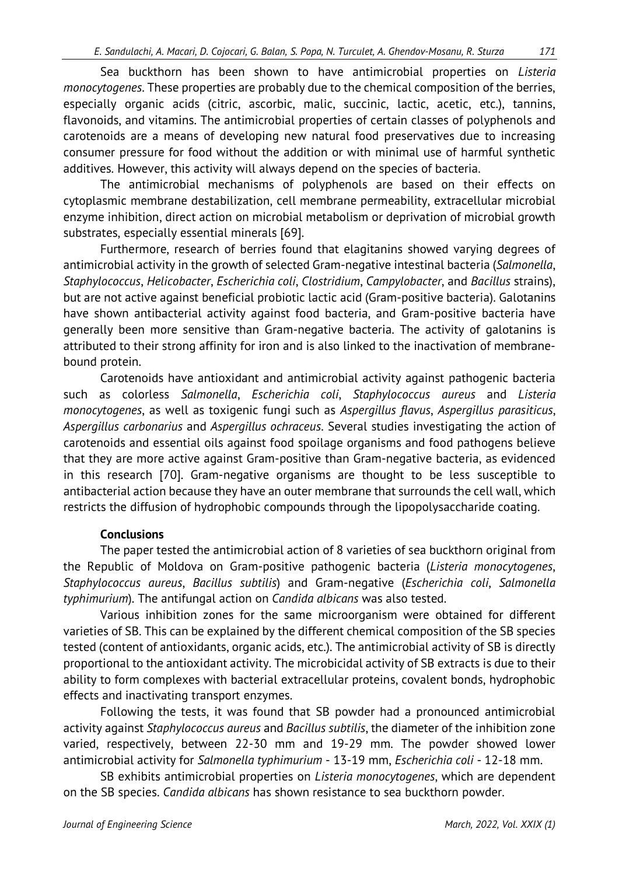Sea buckthorn has been shown to have antimicrobial properties on *Listeria monocytogenes*. These properties are probably due to the chemical composition of the berries, especially organic acids (citric, ascorbic, malic, succinic, lactic, acetic, etc.), tannins, flavonoids, and vitamins. The antimicrobial properties of certain classes of polyphenols and carotenoids are a means of developing new natural food preservatives due to increasing consumer pressure for food without the addition or with minimal use of harmful synthetic additives. However, this activity will always depend on the species of bacteria.

The antimicrobial mechanisms of polyphenols are based on their effects on cytoplasmic membrane destabilization, cell membrane permeability, extracellular microbial enzyme inhibition, direct action on microbial metabolism or deprivation of microbial growth substrates, especially essential minerals [69].

Furthermore, research of berries found that elagitanins showed varying degrees of antimicrobial activity in the growth of selected Gram-negative intestinal bacteria (*Salmonella*, *Staphylococcus*, *Helicobacter*, *Escherichia coli*, *Clostridium*, *Campylobacter*, and *Bacillus* strains), but are not active against beneficial probiotic lactic acid (Gram-positive bacteria). Galotanins have shown antibacterial activity against food bacteria, and Gram-positive bacteria have generally been more sensitive than Gram-negative bacteria. The activity of galotanins is attributed to their strong affinity for iron and is also linked to the inactivation of membranebound protein.

Carotenoids have antioxidant and antimicrobial activity against pathogenic bacteria such as colorless *Salmonella*, *Escherichia coli*, *Staphylococcus aureus* and *Listeria monocytogenes*, as well as toxigenic fungi such as *Aspergillus flavus*, *Aspergillus parasiticus*, *Aspergillus carbonarius* and *Aspergillus ochraceus*. Several studies investigating the action of carotenoids and essential oils against food spoilage organisms and food pathogens believe that they are more active against Gram-positive than Gram-negative bacteria, as evidenced in this research [70]. Gram-negative organisms are thought to be less susceptible to antibacterial action because they have an outer membrane that surrounds the cell wall, which restricts the diffusion of hydrophobic compounds through the lipopolysaccharide coating.

### **Conclusions**

The paper tested the antimicrobial action of 8 varieties of sea buckthorn original from the Republic of Moldova on Gram-positive pathogenic bacteria (*Listeria monocytogenes*, *Staphylococcus aureus*, *Bacillus subtilis*) and Gram-negative (*Escherichia coli*, *Salmonella typhimurium*). The antifungal action on *Candida albicans* was also tested.

Various inhibition zones for the same microorganism were obtained for different varieties of SB. This can be explained by the different chemical composition of the SB species tested (content of antioxidants, organic acids, etc.). The antimicrobial activity of SB is directly proportional to the antioxidant activity. The microbicidal activity of SB extracts is due to their ability to form complexes with bacterial extracellular proteins, covalent bonds, hydrophobic effects and inactivating transport enzymes.

Following the tests, it was found that SB powder had a pronounced antimicrobial activity against *Staphylococcus aureus* and *Bacillus subtilis*, the diameter of the inhibition zone varied, respectively, between 22-30 mm and 19-29 mm. The powder showed lower antimicrobial activity for *Salmonella typhimurium* - 13-19 mm, *Escherichia coli* - 12-18 mm.

SB exhibits antimicrobial properties on *Listeria monocytogenes*, which are dependent on the SB species. *Candida albicans* has shown resistance to sea buckthorn powder.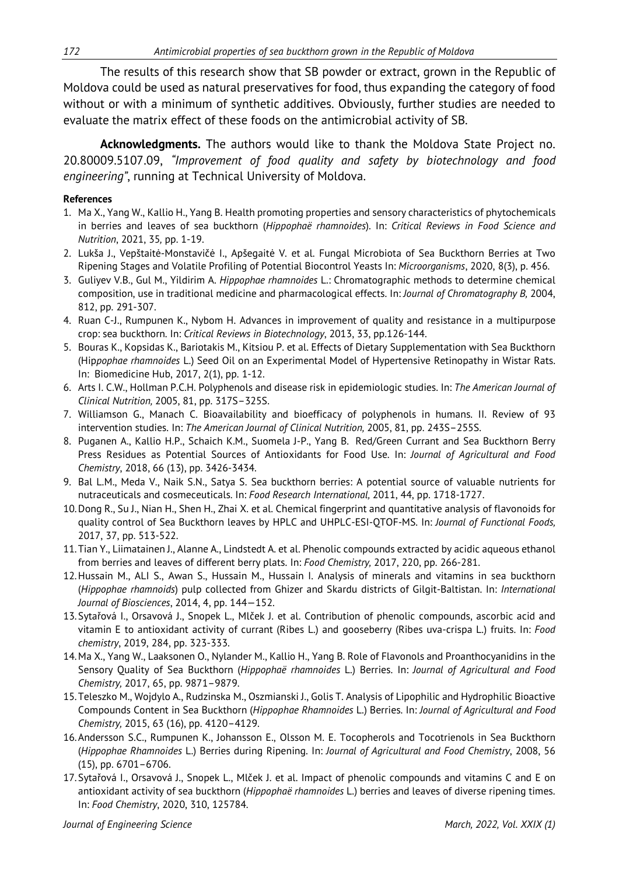The results of this research show that SB powder or extract, grown in the Republic of Moldova could be used as natural preservatives for food, thus expanding the category of food without or with a minimum of synthetic additives. Obviously, further studies are needed to evaluate the matrix effect of these foods on the antimicrobial activity of SB.

**Acknowledgments.** The authors would like to thank the Moldova State Project no. 20.80009.5107.09, *"Improvement of food quality and safety by biotechnology and food engineering"*, running at Technical University of Moldova.

#### **References**

- 1. Ma X., Yang W., Kallio H., Yang B. Health promoting properties and sensory characteristics of phytochemicals in berries and leaves of sea buckthorn (*Hippophaë rhamnoides*). In: *Critical Reviews in Food Science and Nutrition*, 2021, 35*,* pp. 1-19.
- 2. [Lukša](https://sciprofiles.com/profile/1001407) J., Vepštaitė-[Monstavičė](https://sciprofiles.com/profile/author/R0hPeWlHWE54MDdjMFFOOFNrWHhzN0prNTQyaTRMbUl1VHRLV1R4ZWxKND0=) I., [Apšegaitė](https://sciprofiles.com/profile/981118) V. et al. Fungal Microbiota of Sea Buckthorn Berries at Two Ripening Stages and Volatile Profiling of Potential Biocontrol Yeasts In: *Microorganisms*, 2020, 8(3), p. 456.
- 3. Guliyev V.B., Gul M., Yildirim A. *Hippophae rhamnoides* L.: Chromatographic methods to determine chemical composition, use in traditional medicine and pharmacological effects. In: *Journal of Chromatography B,* 2004, 812, pp. 291-307.
- 4. Ruan C-J., Rumpunen K., Nybom H. Advances in improvement of quality and resistance in a multipurpose crop: sea buckthorn. In: *Critical Reviews in Biotechnology*, 2013, 33, pp.126-144.
- 5. Bouras K., Kopsidas K., Bariotakis M., Kitsiou P. et al. [Effects of Dietary Supplementation with Sea Buckthorn](https://pubmed.ncbi.nlm.nih.gov/31988897/) (Hip*pophae rhamnoides* [L.\) Seed Oil on an Experimental Model of Hypertensive Retinopathy in Wistar Rats.](https://pubmed.ncbi.nlm.nih.gov/31988897/) In: Biomedicine Hub, 2017, 2(1), pp. 1-12.
- 6. Arts I. C.W., Hollman P.C.H. Polyphenols and disease risk in epidemiologic studies. In: *The American Journal of Clinical Nutrition,* 2005, 81, pp. 317S–325S.
- 7. Williamson G., Manach C. Bioavailability and bioefficacy of polyphenols in humans. II. Review of 93 intervention studies. In: *The American Journal of Clinical Nutrition,* 2005, 81, pp. 243S–255S.
- 8. Puganen A., Kallio H.P., Schaich K.M., Suomela J-P., Yang B. Red/Green Currant and Sea Buckthorn Berry Press Residues as Potential Sources of Antioxidants for Food Use. In: *Journal of Agricultural and Food Chemistry*, 2018, 66 (13), pp. 3426-3434.
- 9. Bal L.M., Meda V., Naik S.N., Satya S. Sea buckthorn berries: A potential source of valuable nutrients for nutraceuticals and cosmeceuticals. In: *Food Research International,* 2011, 44, pp. 1718-1727.
- 10.Dong R., Su J., Nian H., Shen H., Zhai X. et al. Chemical fingerprint and quantitative analysis of flavonoids for quality control of Sea Buckthorn leaves by HPLC and UHPLC-ESI-QTOF-MS. In: *Journal of Functional Foods,* 2017, 37, pp. 513-522.
- 11.Tian Y., Liimatainen J., Alanne A., Lindstedt A. et al. Phenolic compounds extracted by acidic aqueous ethanol from berries and leaves of different berry plats. In: *Food Chemistry,* 2017, 220, pp. 266-281.
- 12.Hussain M., ALI S., Awan S., Hussain M., Hussain I. Analysis of minerals and vitamins in sea buckthorn (*Hippophae rhamnoids*) pulp collected from Ghizer and Skardu districts of Gilgit-Baltistan. In: *International Journal of Biosciences*, 2014, 4, pp. 144—152.
- 13.Sytařová I., Orsavová J., Snopek L., Mlček J. et al. Contribution of phenolic compounds, ascorbic acid and vitamin E to antioxidant activity of currant (Ribes L.) and gooseberry (Ribes uva-crispa L.) fruits. In: *Food chemistry*, 2019, 284, pp. 323-333.
- 14.Ma X., Yang W., Laaksonen O., Nylander M., Kallio H., Yang B. Role of Flavonols and Proanthocyanidins in the Sensory Quality of Sea Buckthorn (*Hippophaë rhamnoides* L.) Berries. In: *Journal of Agricultural and Food Chemistry,* 2017, 65, pp. 9871–9879.
- 15.Teleszko M., Wojdylo A., Rudzinska M., Oszmianski J., Golis T. Analysis of Lipophilic and Hydrophilic Bioactive Compounds Content in Sea Buckthorn (*Hippophae Rhamnoides* L.) Berries. In: *Journal of Agricultural and Food Chemistry,* 2015, 63 (16), pp. 4120–4129.
- 16.Andersson S.C., Rumpunen K., Johansson E., Olsson M. E. Tocopherols and Tocotrienols in Sea Buckthorn (*Hippophae Rhamnoides* L.) Berries during Ripening. In: *Journal of Agricultural and Food Chemistry*, 2008, 56 (15), pp. 6701–6706.
- 17.Sytařová I., Orsavová J., Snopek L., Mlček J. et al. Impact of phenolic compounds and vitamins C and E on antioxidant activity of sea buckthorn (*Hippophaë rhamnoides* L.) berries and leaves of diverse ripening times. In: *Food Chemistry*, 2020, 310, 125784.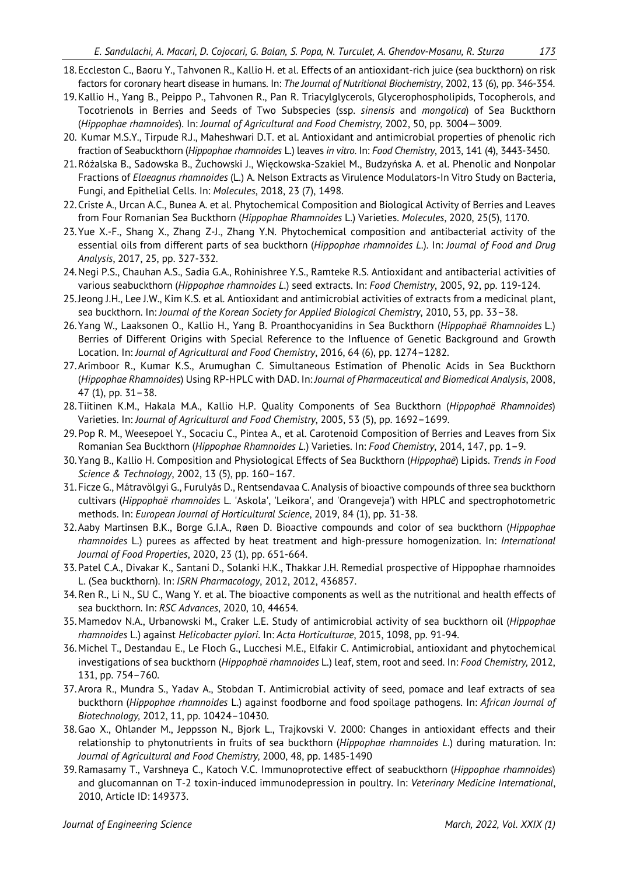- 
- 18.Eccleston C., Baoru Y., Tahvonen R., Kallio H. et al. Effects of an antioxidant-rich juice (sea buckthorn) on risk factors for coronary heart disease in humans. In: *The Journal of Nutritional Biochemistry*, 2002, 13 (6), pp. 346-354.
- 19.Kallio H., Yang B., Peippo P., Tahvonen R., Pan R. Triacylglycerols, Glycerophospholipids, Tocopherols, and Tocotrienols in Berries and Seeds of Two Subspecies (ssp. *sinensis* and *mongolica*) of Sea Buckthorn (*Hippophae rhamnoides*). In: *Journal of Agricultural and Food Chemistry,* 2002, 50, pp. 3004—3009.
- 20. [Kumar](https://pubmed.ncbi.nlm.nih.gov/?term=Yogendra+Kumar+MS&cauthor_id=23993505) M.S.Y., [Tirpude](https://pubmed.ncbi.nlm.nih.gov/?term=Tirpude+RJ&cauthor_id=23993505) R.J., [Maheshwari](https://pubmed.ncbi.nlm.nih.gov/?term=Maheshwari+DT&cauthor_id=23993505) D.T. et al. Antioxidant and antimicrobial properties of phenolic rich fraction of Seabuckthorn (*Hippophae rhamnoides* L.) leaves *in vitro*. In: *Food Chemistry*, 2013, 141 (4), 3443-3450.
- 21.Różalska B., Sadowska B., Żuchowski J., Więckowska-Szakiel M., Budzyńska A. et al. [Phenolic and Nonpolar](https://pubmed.ncbi.nlm.nih.gov/29933557/) Fractions of *Elaeagnus rhamnoides* [\(L.\) A. Nelson Extracts as Virulence Modulators-In Vitro Study on Bacteria,](https://pubmed.ncbi.nlm.nih.gov/29933557/) [Fungi, and Epithelial Cells.](https://pubmed.ncbi.nlm.nih.gov/29933557/) In: *Molecules*, 2018, 23 (7), 1498.
- 22.Criste A., Urcan A.C., Bunea A. et al. [Phytochemical Composition and Biological Activity of Berries and Leaves](https://pubmed.ncbi.nlm.nih.gov/32150954/) [from Four Romanian Sea Buckthorn \(](https://pubmed.ncbi.nlm.nih.gov/32150954/)*Hippophae Rhamnoides* L.) Varieties. *Molecules*, 2020, 25(5), 1170.
- 23.Yue X.-F., Shang X., Zhang Z-J., Zhang Y.N. Phytochemical composition and antibacterial activity of the essential oils from different parts of sea buckthorn (*Hippophae rhamnoides L.*). In: *Journal of Food and Drug Analysis*, 2017, 25, pp. 327-332.
- 24.Negi P.S., Chauhan A.S., Sadia G.A., Rohinishree Y.S., Ramteke R.S. Antioxidant and antibacterial activities of various seabuckthorn (*Hippophae rhamnoides L.*) seed extracts. In: *Food Chemistry*, 2005, 92, pp. 119-124.
- 25.Jeong J.H., Lee J.W., Kim K.S. et al. Antioxidant and antimicrobial activities of extracts from a medicinal plant, sea buckthorn. In: *Journal of the Korean Society for Applied Biological Chemistry*, 2010, 53, pp. 33–38.
- 26.Yang W., Laaksonen O., Kallio H., Yang B. Proanthocyanidins in Sea Buckthorn (*Hippophaë Rhamnoides* L.) Berries of Different Origins with Special Reference to the Influence of Genetic Background and Growth Location. In: *Journal of Agricultural and Food Chemistry*, 2016, 64 (6), pp. 1274–1282.
- 27.Arimboor R., Kumar K.S., Arumughan C. Simultaneous Estimation of Phenolic Acids in Sea Buckthorn (*Hippophae Rhamnoides*) Using RP-HPLC with DAD. In: *Journal of Pharmaceutical and Biomedical Analysis*, 2008, 47 (1), pp. 31–38.
- 28.Tiitinen K.M., Hakala M.A., Kallio H.P. Quality Components of Sea Buckthorn (*Hippophaë Rhamnoides*) Varieties. In: *Journal of Agricultural and Food Chemistry*, 2005, 53 (5), pp. 1692–1699.
- 29.Pop R. M., Weesepoel Y., Socaciu C., Pintea A., et al. Carotenoid Composition of Berries and Leaves from Six Romanian Sea Buckthorn (*Hippophae Rhamnoides L.*) Varieties. In: *Food Chemistry*, 2014, 147, pp. 1–9.
- 30.Yang B., Kallio H. Composition and Physiological Effects of Sea Buckthorn (*Hippophaë*) Lipids. *Trends in Food Science & Technology*, 2002, 13 (5), pp. 160–167.
- 31.Ficze G., Mátravölgyi G., Furulyás D., Rentsendavaa C.Analysis of bioactive compounds of three sea buckthorn cultivars (*Hippophaë rhamnoides* L. 'Askola', 'Leikora', and 'Orangeveja') with HPLC and spectrophotometric methods. In: *European Journal of Horticultural Science*, 2019, 84 (1), pp. 31-38.
- 32.Aaby Martinsen B.K., Borge G.I.A., Røen D. Bioactive compounds and color of sea buckthorn (*Hippophae rhamnoides* L.) purees as affected by heat treatment and high-pressure homogenization. In: *International Journal of Food Properties*, 2020, 23 (1), pp. 651-664.
- 33.Patel C.A., Divakar K., Santani D., Solanki H.K., Thakkar J.H. Remedial prospective of Hippophae rhamnoides L. (Sea buckthorn). In: *ISRN Pharmacology*, 2012, 2012, 436857.
- 34.Ren R., Li N., SU C., Wang Y. et al. The bioactive components as well as the nutritional and health effects of sea buckthorn. In: *RSC Advances*, 2020, 10, 44654.
- 35.Mamedov N.A., Urbanowski M., Craker L.E. Study of antimicrobial activity of sea buckthorn oil (*Hippophae rhamnoides* L.) against *Helicobacter pylori*. In: *Acta Horticulturae*, 2015, 1098, pp. 91-94.
- 36.Michel T., Destandau E., Le Floch G., Lucchesi M.E., Elfakir C. Antimicrobial, antioxidant and phytochemical investigations of sea buckthorn (*Hippophaë rhamnoides* L.) leaf, stem, root and seed. In: *Food Chemistry,* 2012, 131, pp. 754–760.
- 37.Arora R., Mundra S., Yadav A., Stobdan T. Antimicrobial activity of seed, pomace and leaf extracts of sea buckthorn (*Hippophae rhamnoides* L.) against foodborne and food spoilage pathogens. In: *African Journal of Biotechnology,* 2012, 11, pp. 10424–10430.
- 38.Gao X., Ohlander M., Jeppsson N., Bjork L., Trajkovski V. 2000: Changes in antioxidant effects and their relationship to phytonutrients in fruits of sea buckthorn (*Hippophae rhamnoides L*.) during maturation. In: *Journal of Agricultural and Food Chemistry,* 2000, 48, pp. 1485-1490
- 39.Ramasamy T., Varshneya C., Katoch V.C. Immunoprotective effect of seabuckthorn (*Hippophae rhamnoides*) and glucomannan on T-2 toxin-induced immunodepression in poultry. In: *Veterinary Medicine International*, 2010, Article ID: 149373.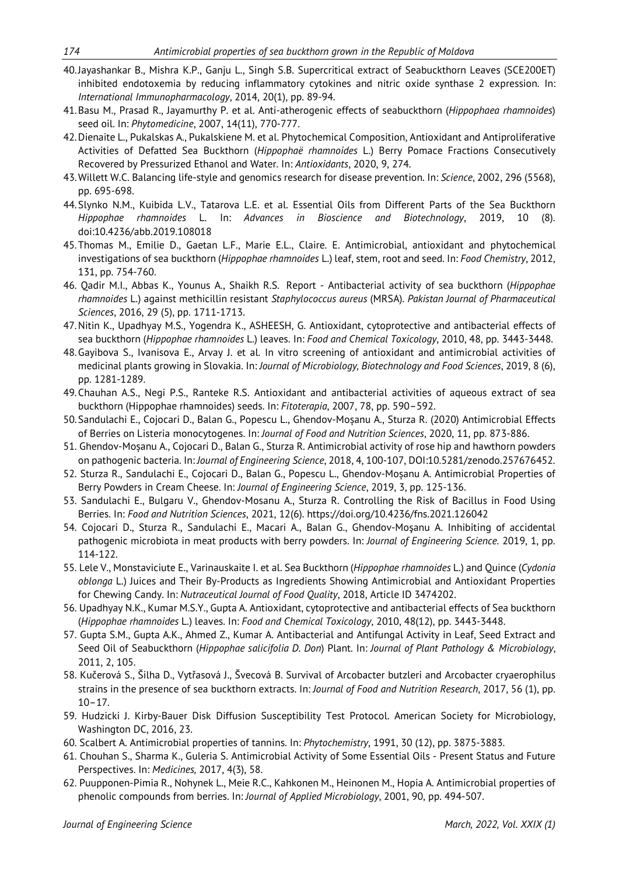- 40.Jayashankar B., Mishra K.P., Ganju L., Singh S.B. Supercritical extract of Seabuckthorn Leaves (SCE200ET) inhibited endotoxemia by reducing inflammatory cytokines and nitric oxide synthase 2 expression. In: *International Immunopharmacology*, 2014, 20(1), pp. 89-94.
- 41.Basu M., Prasad R., Jayamurthy P. et al. Anti-atherogenic effects of seabuckthorn (*Hippophaea rhamnoides*) seed oil. In: *Phytomedicine*, 2007, 14(11), 770-777.
- 42.Dienaite L., Pukalskas A., Pukalskiene M. et al. Phytochemical Composition, Antioxidant and Antiproliferative Activities of Defatted Sea Buckthorn (*Hippophaë rhamnoides* L.) Berry Pomace Fractions Consecutively Recovered by Pressurized Ethanol and Water. In: *Antioxidants*, 2020, 9, 274.
- 43.Willett W.C. Balancing life-style and genomics research for disease prevention. In: *Science*, 2002, 296 (5568), pp. 695-698.
- 44[.Slynko](https://www.scirp.org/journal/articles.aspx?searchcode=Nikolay+M.++Slynko&searchfield=authors&page=1) N.M., [Kuibida](https://www.scirp.org/journal/articles.aspx?searchcode=Leonid+V.++Kuibida&searchfield=authors&page=1) L.V., [Tatarova](https://www.scirp.org/journal/articles.aspx?searchcode=Ludmila+E.++Tatarova&searchfield=authors&page=1) L.E. et al. Essential Oils from Different Parts of the Sea Buckthorn *Hippophae rhamnoides* L. In: *[Advances in Bioscience and Biotechnology](https://www.scirp.org/journal/journalarticles.aspx?journalid=164)*, 2019, 10 (8)[.](https://www.scirp.org/journal/home.aspx?issueid=12825#94723) doi:[10.4236/abb.2019.108018](https://doi.org/10.4236/abb.2019.108018)
- 45.Thomas M., Emilie D., Gaetan L.F., Marie E.L., Claire. E. Antimicrobial, antioxidant and phytochemical investigations of sea buckthorn (*Hippophae rhamnoides* L.) leaf, stem, root and seed. In: *Food Chemistry*, 2012, 131, pp. 754-760.
- 46. [Qadir](https://pubmed.ncbi.nlm.nih.gov/?term=Qadir+MI&cauthor_id=27731833) M.I., Abbas K., [Younus](https://pubmed.ncbi.nlm.nih.gov/?term=Younus+A&cauthor_id=27731833) A., Shaikh R.S. Report Antibacterial activity of sea buckthorn (*Hippophae rhamnoides* L.) against methicillin resistant *Staphylococcus aureus* (MRSA). *Pakistan Journal of Pharmaceutical Sciences*, 2016, 29 (5), pp. 1711-1713.
- 47.Nitin K., Upadhyay M.S., Yogendra K., ASHEESH, G. Antioxidant, cytoprotective and antibacterial effects of sea buckthorn (*Hippophae rhamnoides* L.) leaves. In: *Food and Chemical Toxicology*, 2010, 48, pp. 3443-3448.
- 48.Gayibova S., Ivanisova E., Arvay J. et al. In vitro screening of antioxidant and antimicrobial activities of medicinal plants growing in Slovakia. In: *Journal of Microbiology, Biotechnology and Food Sciences*, 2019, 8 (6), pp. 1281-1289.
- 49.Chauhan A.S., Negi P.S., Ranteke R.S. Antioxidant and antibacterial activities of aqueous extract of sea buckthorn (Hippophae rhamnoides) seeds. In: *Fitoterapia*, 2007, 78, pp. 590–592.
- 50.Sandulachi E., Cojocari D., Balan G., Popescu L., Ghendov-Moșanu A., Sturza R. (2020) Antimicrobial Effects of Berries on Listeria monocytogenes. In: *Journal of Food and Nutrition Sciences*, 2020, 11, pp. 873-886.
- 51. Ghendov-Moșanu A., Cojocari D., Balan G., Sturza R. Antimicrobial activity of rose hip and hawthorn powders on pathogenic bacteria. In: *Journal of Engineering Science*, 2018, 4, 100-107, DOI:10.5281/zenodo.257676452.
- 52. Sturza R., Sandulachi E., Cojocari D., Balan G., Popescu L., Ghendov-Moșanu A. Antimicrobial Properties of Berry Powders in Cream Cheese. In: *Journal of Engineering Science*, 2019, 3, pp. 125-136.
- 53. Sandulachi E., Bulgaru V., Ghendov-Mosanu A., Sturza R. Controlling the Risk of Bacillus in Food Using Berries. In: *[Food and Nutrition Sciences](https://www.scirp.org/journal/journalarticles.aspx?journalid=208)*, 2021, 12(6). https://doi.org/10.4236/fns.2021.126042
- 54. Cojocari D., Sturza R., Sandulachi E., Macari A., Balan G., Ghendov-Moşanu A. Inhibiting of accidental pathogenic microbiota in meat products with berry powders. In: *Journal of Engineering Science*. 2019, 1, pp. 114-122.
- 55. Lele V., Monstaviciute E., Varinauskaite I. et al. Sea Buckthorn (*Hippophae rhamnoides* L.) and Quince (*Cydonia oblonga* L.) Juices and Their By-Products as Ingredients Showing Antimicrobial and Antioxidant Properties for Chewing Candy. In: *Nutraceutical [Journal of Food Quality](https://www.hindawi.com/journals/jfq/)*, [2018,](https://www.hindawi.com/journals/jfq/contents/year/2018/) Article ID 3474202.
- 56. Upadhyay N.K., Kumar M.S.Y., Gupta A. Antioxidant, cytoprotective and antibacterial effects of Sea buckthorn (*Hippophae rhamnoides* L.) leaves. In: *Food and Chemical Toxicology*, 2010, 48(12), pp. 3443-3448.
- 57. Gupta S.M., Gupta A.K., Ahmed Z., Kumar A. Antibacterial and Antifungal Activity in Leaf, Seed Extract and Seed Oil of Seabuckthorn (*Hippophae salicifolia D. Don*) Plant. In: *Journal of Plant Pathology & Microbiology*, 2011, 2, 105.
- 58. Kučerová S., Šilha D., Vytřasová J., Švecová B. Survival of Arcobacter butzleri and Arcobacter cryaerophilus strains in the presence of sea buckthorn extracts. In: *Journal of Food and Nutrition Research*, 2017, 56 (1), pp. 10–17.
- 59. Hudzicki J. Kirby-Bauer Disk Diffusion Susceptibility Test Protocol. American Society for Microbiology, Washington DC, 2016, 23.
- 60. Scalbert A. Antimicrobial properties of tannins. In: *[Phytochemistry](https://www.sciencedirect.com/science/journal/00319422)*, 1991, 30 (12), pp. 3875-3883.
- 61. Chouhan S., Sharma K., Guleria S. Antimicrobial Activity of Some Essential Oils Present Status and Future Perspectives. In: *Medicines,* 2017, 4(3), 58.
- 62. Puupponen-Pimia R., Nohynek L., Meie R.C., Kahkonen M., Heinonen M., Hopia A. Antimicrobial properties of phenolic compounds from berries. In: *Journal of Applied Microbiology*, 2001, 90, pp. 494-507.